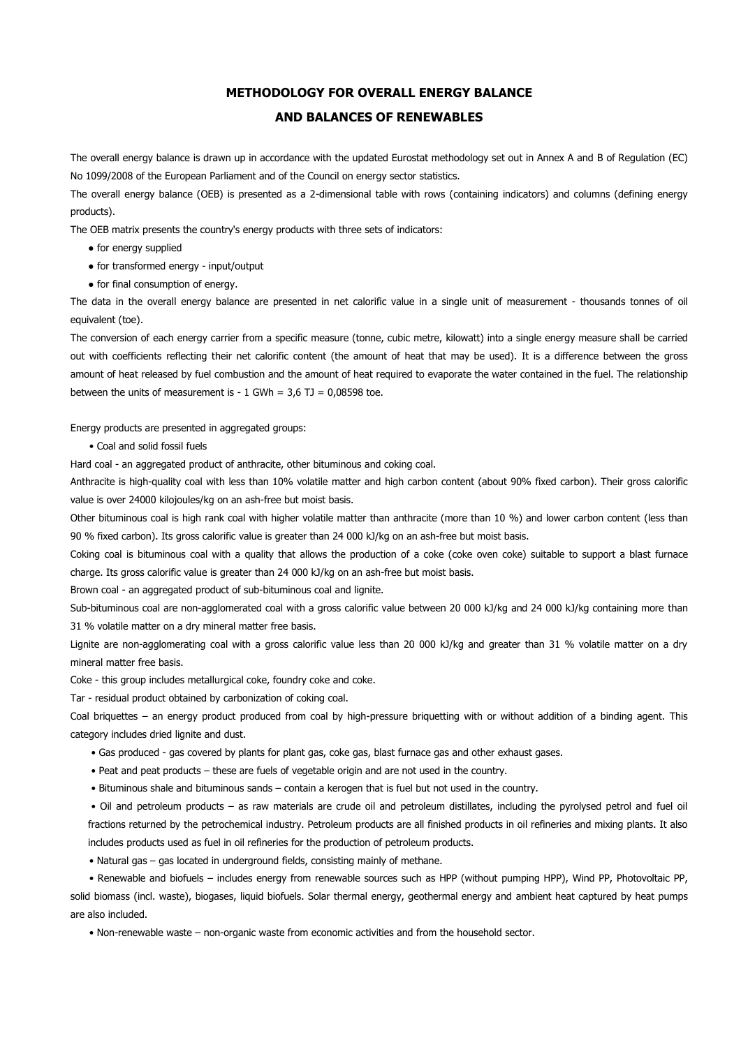## **METHODOLOGY FOR OVERALL ENERGY BALANCE**

## **AND BALANCES OF RENEWABLES**

The overall energy balance is drawn up in accordance with the updated Eurostat methodology set out in Annex A and B of Regulation (EC) No 1099/2008 of the European Parliament and of the Council on energy sector statistics.

The overall energy balance (OEB) is presented as a 2-dimensional table with rows (containing indicators) and columns (defining energy products).

The OEB matrix presents the country's energy products with three sets of indicators:

- for energy supplied
- for transformed energy input/output
- for final consumption of energy.

The data in the overall energy balance are presented in net calorific value in a single unit of measurement - thousands tonnes of oil equivalent (toe).

The conversion of each energy carrier from a specific measure (tonne, cubic metre, kilowatt) into a single energy measure shall be carried out with coefficients reflecting their net calorific content (the amount of heat that may be used). It is a difference between the gross amount of heat released by fuel combustion and the amount of heat required to evaporate the water contained in the fuel. The relationship between the units of measurement is -  $1$  GWh =  $3,6$  TJ =  $0,08598$  toe.

Energy products are presented in aggregated groups:

• Coal and solid fossil fuels

Hard coal - an aggregated product of anthracite, other bituminous and coking coal.

Anthracite is high-quality coal with less than 10% volatile matter and high carbon content (about 90% fixed carbon). Their gross calorific value is over 24000 kilojoules/kg on an ash-free but moist basis.

Other bituminous coal is high rank coal with higher volatile matter than anthracite (more than 10 %) and lower carbon content (less than 90 % fixed carbon). Its gross calorific value is greater than 24 000 kJ/kg on an ash-free but moist basis.

Coking coal is bituminous coal with a quality that allows the production of a coke (coke oven coke) suitable to support a blast furnace charge. Its gross calorific value is greater than 24 000 kJ/kg on an ash-free but moist basis.

Brown coal - an aggregated product of sub-bituminous coal and lignite.

Sub-bituminous coal are non-agglomerated coal with a gross calorific value between 20 000 kJ/kg and 24 000 kJ/kg containing more than 31 % volatile matter on a dry mineral matter free basis.

Lignite are non-agglomerating coal with a gross calorific value less than 20 000 kJ/kg and greater than 31 % volatile matter on a dry mineral matter free basis.

Coke - this group includes metallurgical coke, foundry coke and coke.

Tar - residual product obtained by carbonization of coking coal.

Coal briquettes – an energy product produced from coal by high-pressure briquetting with or without addition of a binding agent. This category includes dried lignite and dust.

- Gas produced gas covered by plants for plant gas, coke gas, blast furnace gas and other exhaust gases.
- Peat and peat products these are fuels of vegetable origin and are not used in the country.
- Bituminous shale and bituminous sands contain a kerogen that is fuel but not used in the country.

• Oil and petroleum products – as raw materials are crude oil and petroleum distillates, including the pyrolysed petrol and fuel oil fractions returned by the petrochemical industry. Petroleum products are all finished products in oil refineries and mixing plants. It also includes products used as fuel in oil refineries for the production of petroleum products.

• Natural gas – gas located in underground fields, consisting mainly of methane.

 • Renewable and biofuels – includes energy from renewable sources such as HPP (without pumping HPP), Wind PP, Photovoltaic PP, solid biomass (incl. waste), biogases, liquid biofuels. Solar thermal energy, geothermal energy and ambient heat captured by heat pumps are also included.

• Non-renewable waste – non-organic waste from economic activities and from the household sector.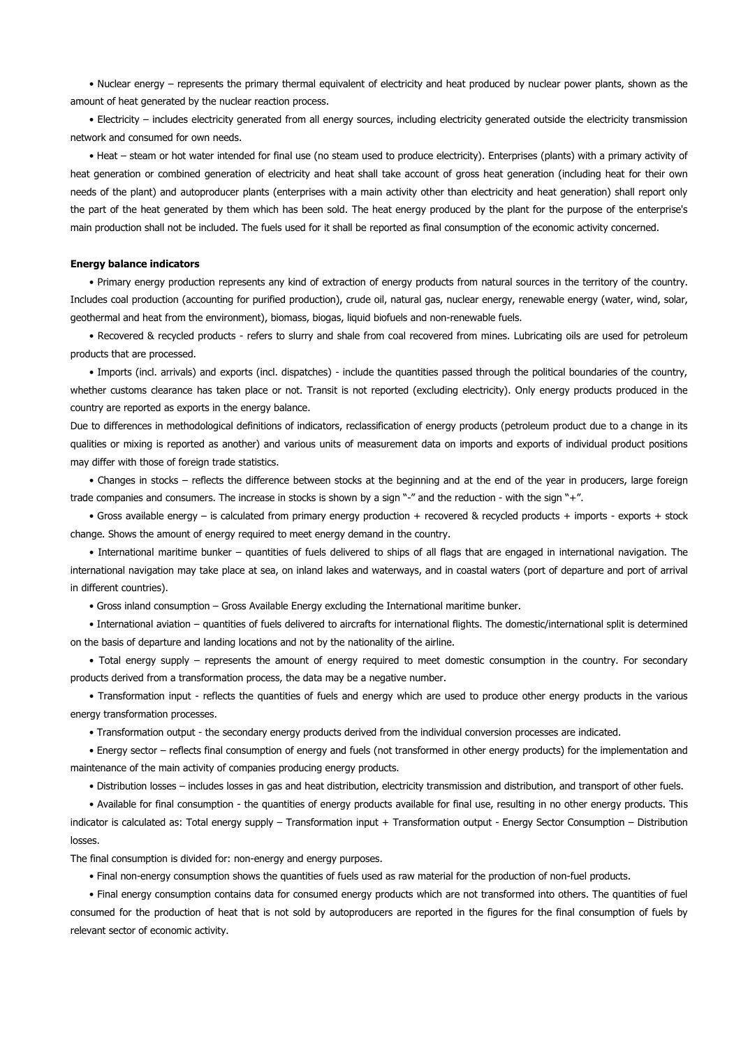• Nuclear energy – represents the primary thermal equivalent of electricity and heat produced by nuclear power plants, shown as the amount of heat generated by the nuclear reaction process.

 • Electricity – includes electricity generated from all energy sources, including electricity generated outside the electricity transmission network and consumed for own needs.

 • Heat – steam or hot water intended for final use (no steam used to produce electricity). Enterprises (plants) with a primary activity of heat generation or combined generation of electricity and heat shall take account of gross heat generation (including heat for their own needs of the plant) and autoproducer plants (enterprises with a main activity other than electricity and heat generation) shall report only the part of the heat generated by them which has been sold. The heat energy produced by the plant for the purpose of the enterprise's main production shall not be included. The fuels used for it shall be reported as final consumption of the economic activity concerned.

## **Energy balance indicators**

 • Primary energy production represents any kind of extraction of energy products from natural sources in the territory of the country. Includes coal production (accounting for purified production), crude oil, natural gas, nuclear energy, renewable energy (water, wind, solar, geothermal and heat from the environment), biomass, biogas, liquid biofuels and non-renewable fuels.

 • Recovered & recycled products - refers to slurry and shale from coal recovered from mines. Lubricating oils are used for petroleum products that are processed.

 • Imports (incl. arrivals) and exports (incl. dispatches) - include the quantities passed through the political boundaries of the country, whether customs clearance has taken place or not. Transit is not reported (excluding electricity). Only energy products produced in the country are reported as exports in the energy balance.

Due to differences in methodological definitions of indicators, reclassification of energy products (petroleum product due to a change in its qualities or mixing is reported as another) and various units of measurement data on imports and exports of individual product positions may differ with those of foreign trade statistics.

 • Changes in stocks – reflects the difference between stocks at the beginning and at the end of the year in producers, large foreign trade companies and consumers. The increase in stocks is shown by a sign "-" and the reduction - with the sign "+".

 • Gross available energy – is calculated from primary energy production + recovered & recycled products + imports - exports + stock change. Shows the amount of energy required to meet energy demand in the country.

 • International maritime bunker – quantities of fuels delivered to ships of all flags that are engaged in international navigation. The international navigation may take place at sea, on inland lakes and waterways, and in coastal waters (port of departure and port of arrival in different countries).

• Gross inland consumption – Gross Available Energy excluding the International maritime bunker.

 • International aviation – quantities of fuels delivered to aircrafts for international flights. The domestic/international split is determined on the basis of departure and landing locations and not by the nationality of the airline.

 • Total energy supply – represents the amount of energy required to meet domestic consumption in the country. For secondary products derived from a transformation process, the data may be a negative number.

 • Transformation input - reflects the quantities of fuels and energy which are used to produce other energy products in the various energy transformation processes.

• Transformation output - the secondary energy products derived from the individual conversion processes are indicated.

 • Energy sector – reflects final consumption of energy and fuels (not transformed in other energy products) for the implementation and maintenance of the main activity of companies producing energy products.

• Distribution losses – includes losses in gas and heat distribution, electricity transmission and distribution, and transport of other fuels.

 • Available for final consumption - the quantities of energy products available for final use, resulting in no other energy products. This indicator is calculated as: Total energy supply – Transformation input + Transformation output - Energy Sector Consumption – Distribution losses.

The final consumption is divided for: non-energy and energy purposes.

• Final non-energy consumption shows the quantities of fuels used as raw material for the production of non-fuel products.

 • Final energy consumption contains data for consumed energy products which are not transformed into others. The quantities of fuel consumed for the production of heat that is not sold by autoproducers are reported in the figures for the final consumption of fuels by relevant sector of economic activity.